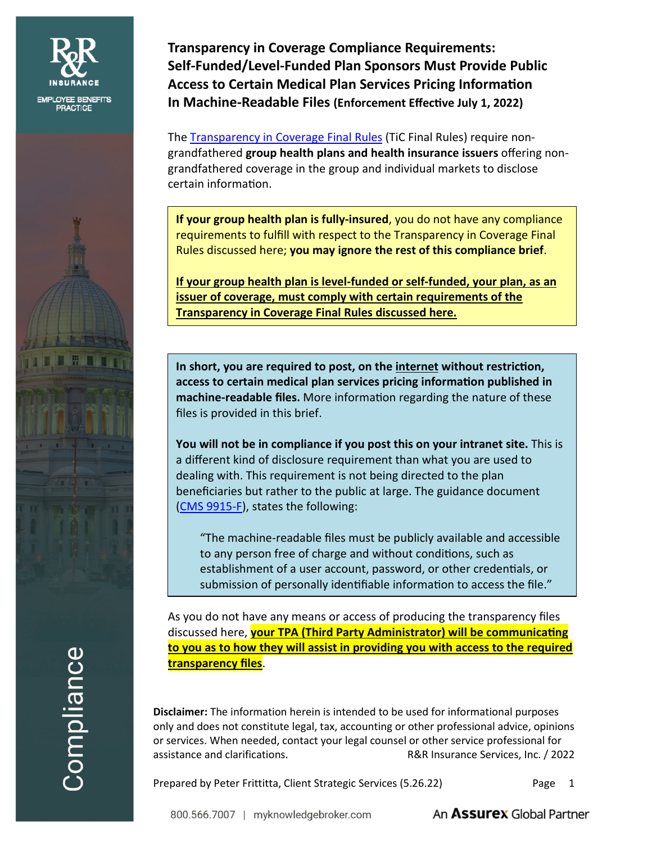

Compliance

**Transparency in Coverage Compliance Requirements: Self-Funded/Level-Funded Plan Sponsors Must Provide Public Access to Certain Medical Plan Services Pricing Informafion In Machine-Readable Files (Enforcement Effecfive July 1, 2022)**

The [Transparency in Coverage Final Rules](https://www.cms.gov/CCIIO/Resources/Regulations-and-Guidance/Downloads/CMS-Transparency-in-Coverage-9915F.pdf) (TiC Final Rules) require nongrandfathered **group health plans and health insurance issuers** offering nongrandfathered coverage in the group and individual markets to disclose certain informafion.

**If your group health plan is fully-insured**, you do not have any compliance requirements to fulfill with respect to the Transparency in Coverage Final Rules discussed here; **you may ignore the rest of this compliance brief**.

**If your group health plan is level-funded or self-funded, your plan, as an issuer of coverage, must comply with certain requirements of the Transparency in Coverage Final Rules discussed here.**

**In short, you are required to post, on the internet without restricfion, access to certain medical plan services pricing informafion published in machine-readable files.** More informafion regarding the nature of these files is provided in this brief.

**You will not be in compliance if you post this on your intranet site.** This is a different kind of disclosure requirement than what you are used to dealing with. This requirement is not being directed to the plan beneficiaries but rather to the public at large. The guidance document [\(CMS 9915-F\)](https://www.cms.gov/CCIIO/Resources/Regulations-and-Guidance/Downloads/CMS-Transparency-in-Coverage-9915F.pdf), states the following:

"The machine-readable files must be publicly available and accessible to any person free of charge and without condifions, such as establishment of a user account, password, or other credenfials, or submission of personally identifiable information to access the file."

As you do not have any means or access of producing the transparency files discussed here, **your TPA (Third Party Administrator) will be communicafing to you as to how they will assist in providing you with access to the required transparency files**.

**Disclaimer:** The information herein is intended to be used for informational purposes only and does not constitute legal, tax, accounting or other professional advice, opinions or services. When needed, contact your legal counsel or other service professional for assistance and clarifications. R&R Insurance Services, Inc. / 2022

Prepared by Peter Frittitta, Client Strategic Services (5.26.22) Page 1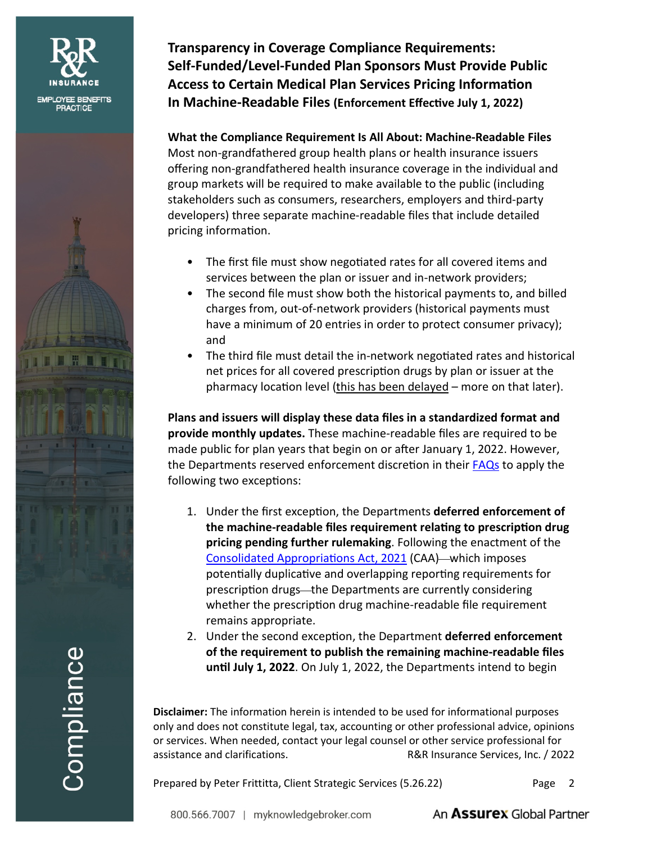



**Transparency in Coverage Compliance Requirements: Self-Funded/Level-Funded Plan Sponsors Must Provide Public Access to Certain Medical Plan Services Pricing Informafion In Machine-Readable Files (Enforcement Effecfive July 1, 2022)**

**What the Compliance Requirement Is All About: Machine-Readable Files** Most non-grandfathered group health plans or health insurance issuers offering non-grandfathered health insurance coverage in the individual and group markets will be required to make available to the public (including stakeholders such as consumers, researchers, employers and third-party developers) three separate machine-readable files that include detailed pricing information.

- The first file must show negofiated rates for all covered items and services between the plan or issuer and in-network providers;
- The second file must show both the historical payments to, and billed charges from, out-of-network providers (historical payments must have a minimum of 20 entries in order to protect consumer privacy); and
- The third file must detail the in-network negotiated rates and historical net prices for all covered prescripfion drugs by plan or issuer at the pharmacy locafion level (this has been delayed – more on that later).

**Plans and issuers will display these data files in a standardized format and provide monthly updates.** These machine-readable files are required to be made public for plan years that begin on or after January 1, 2022. However, the Departments reserved enforcement discretion in their [FAQs](https://www.cms.gov/CCIIO/Resources/Fact-Sheets-and-FAQs/Downloads/FAQs-Part-49.pdf) to apply the following two excepfions:

- 1. Under the first excepfion, the Departments **deferred enforcement of the machine-readable files requirement relafing to prescripfion drug pricing pending further rulemaking**. Following the enactment of the Consolidated Appropriations Act, 2021 (CAA)—which imposes potentially duplicative and overlapping reporting requirements for prescription drugs-the Departments are currently considering whether the prescripfion drug machine-readable file requirement remains appropriate.
- 2. Under the second excepfion, the Department **deferred enforcement of the requirement to publish the remaining machine-readable files unfil July 1, 2022**. On July 1, 2022, the Departments intend to begin

**Disclaimer:** The information herein is intended to be used for informational purposes only and does not constitute legal, tax, accounting or other professional advice, opinions or services. When needed, contact your legal counsel or other service professional for assistance and clarifications. R&R Insurance Services, Inc. / 2022

Prepared by Peter Frittitta, Client Strategic Services (5.26.22) Page 2